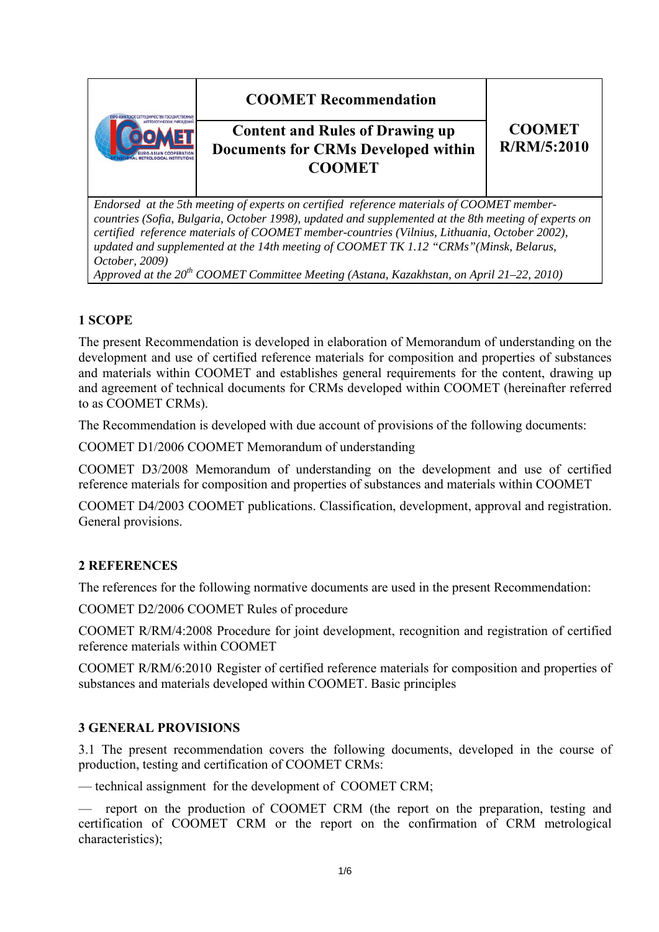# **COOMET Recommendation**



# **Content and Rules of Drawing up Documents for CRMs Developed within COOMET**

### **CООМЕТ R/RM/5:2010**

*Endorsed at the 5th meeting of experts on certified reference materials of COOMET membercountries (Sofia, Bulgaria, October 1998), updated and supplemented at the 8th meeting of experts on certified reference materials of COOMET member-countries (Vilnius, Lithuania, October 2002), updated and supplemented at the 14th meeting of COOMET TK 1.12 "CRMs"(Minsk, Belarus, October, 2009)* 

*Approved at the 20th COOMET Committee Meeting (Astana, Kazakhstan, on April 21–22, 2010)*

## **1 SCOPE**

The present Recommendation is developed in elaboration of Memorandum of understanding on the development and use of certified reference materials for composition and properties of substances and materials within COOMET and establishes general requirements for the content, drawing up and agreement of technical documents for CRMs developed within COOMET (hereinafter referred to as COOMET CRMs).

The Recommendation is developed with due account of provisions of the following documents:

COOMET D1/2006 COOMET Memorandum of understanding

COOMET D3/2008 Memorandum of understanding on the development and use of certified reference materials for composition and properties of substances and materials within COOMET

COOMET D4/2003 COOMET publications. Classification, development, approval and registration. General provisions.

#### **2 REFERENCES**

The references for the following normative documents are used in the present Recommendation:

COOMET D2/2006 COOMET Rules of procedure

COOMET R/RM/4:2008 Procedure for joint development, recognition and registration of certified reference materials within COOMET

COOMET R/RM/6:2010 Register of certified reference materials for composition and properties of substances and materials developed within COOMET. Basic principles

#### **3 GENERAL PROVISIONS**

3.1 The present recommendation covers the following documents, developed in the course of production, testing and certification of COOMET CRMs:

— technical assignment for the development of COOMET CRM;

— report on the production of COOMET CRM (the report on the preparation, testing and certification of COOMET CRM or the report on the confirmation of CRM metrological characteristics);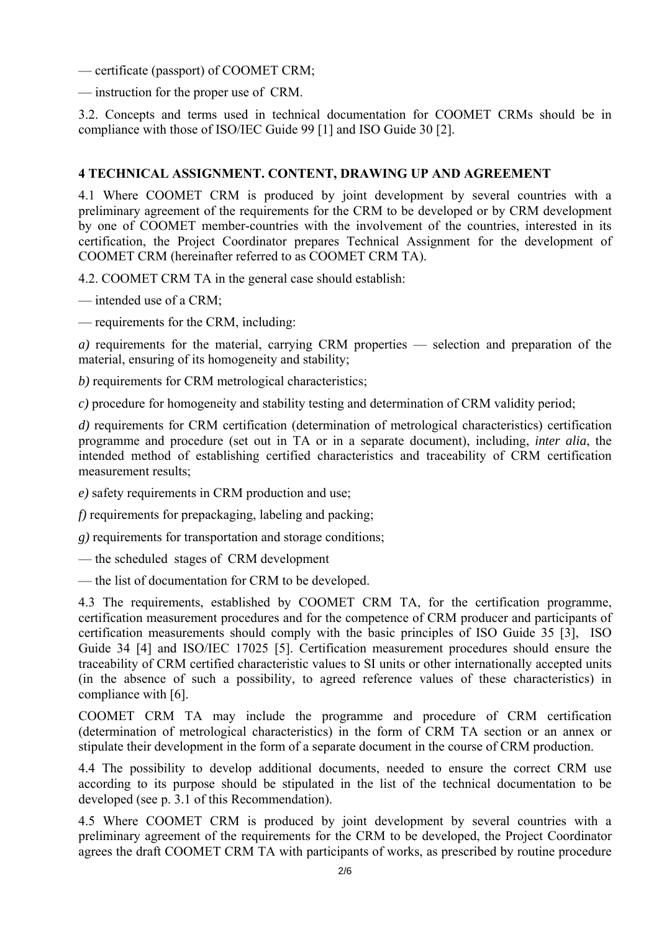— certificate (passport) of COOMET CRM;

— instruction for the proper use of CRM.

3.2. Concepts and terms used in technical documentation for COOMET CRMs should be in compliance with those of ISO/IEC Guide 99 [1] and ISO Guide 30 [2].

#### **4 TECHNICAL ASSIGNMENT. CONTENT, DRAWING UP AND AGREEMENT**

4.1 Where COOMET CRM is produced by joint development by several countries with a preliminary agreement of the requirements for the CRM to be developed or by CRM development by one of COOMET member-countries with the involvement of the countries, interested in its certification, the Project Coordinator prepares Technical Assignment for the development of COOMET CRM (hereinafter referred to as COOMET CRM TA).

4.2. COOMET CRM TA in the general case should establish:

— intended use of a CRM;

— requirements for the CRM, including:

*a)* requirements for the material, carrying CRM properties — selection and preparation of the material, ensuring of its homogeneity and stability;

*b)* requirements for CRM metrological characteristics;

*c)* procedure for homogeneity and stability testing and determination of CRM validity period;

*d)* requirements for CRM certification (determination of metrological characteristics) certification programme and procedure (set out in TA or in a separate document), including, *inter alia*, the intended method of establishing certified characteristics and traceability of CRM certification measurement results;

*e)* safety requirements in CRM production and use;

*f)* requirements for prepackaging, labeling and packing;

*g)* requirements for transportation and storage conditions;

— the scheduled stages of CRM development

— the list of documentation for CRM to be developed.

4.3 The requirements, established by COOMET CRM TA, for the certification programme, certification measurement procedures and for the competence of CRM producer and participants of certification measurements should comply with the basic principles of ISO Guide 35 [3], ISO Guide 34 [4] and ISO/IEC 17025 [5]. Certification measurement procedures should ensure the traceability of CRM certified characteristic values to SI units or other internationally accepted units (in the absence of such a possibility, to agreed reference values of these characteristics) in compliance with [6].

COOMET CRM TA may include the programme and procedure of CRM certification (determination of metrological characteristics) in the form of CRM TA section or an annex or stipulate their development in the form of a separate document in the course of CRM production.

4.4 The possibility to develop additional documents, needed to ensure the correct CRM use according to its purpose should be stipulated in the list of the technical documentation to be developed (see p. 3.1 of this Recommendation).

4.5 Where COOMET CRM is produced by joint development by several countries with a preliminary agreement of the requirements for the CRM to be developed, the Project Coordinator agrees the draft COOMET CRM TA with participants of works, as prescribed by routine procedure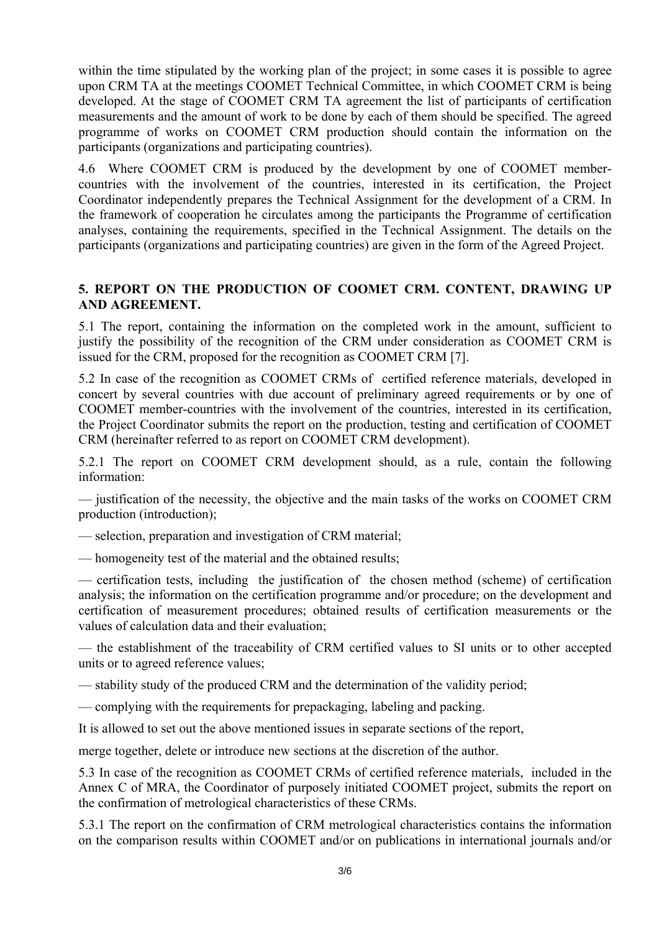within the time stipulated by the working plan of the project; in some cases it is possible to agree upon CRM TA at the meetings COOMET Technical Committee, in which COOMET CRM is being developed. At the stage of COOMET CRM TA agreement the list of participants of certification measurements and the amount of work to be done by each of them should be specified. The agreed programme of works on COOMET CRM production should contain the information on the participants (organizations and participating countries).

4.6 Where COOMET CRM is produced by the development by one of COOMET membercountries with the involvement of the countries, interested in its certification, the Project Coordinator independently prepares the Technical Assignment for the development of a CRM. In the framework of cooperation he circulates among the participants the Programme of certification analyses, containing the requirements, specified in the Technical Assignment. The details on the participants (organizations and participating countries) are given in the form of the Agreed Project.

#### **5. REPORT ON THE PRODUCTION OF COOMET CRM. CONTENT, DRAWING UP AND AGREEMENT.**

5.1 The report, containing the information on the completed work in the amount, sufficient to justify the possibility of the recognition of the CRM under consideration as COOMET CRM is issued for the CRM, proposed for the recognition as COOMET CRM [7].

5.2 In case of the recognition as COOMET CRMs of certified reference materials, developed in concert by several countries with due account of preliminary agreed requirements or by one of COOMET member-countries with the involvement of the countries, interested in its certification, the Project Coordinator submits the report on the production, testing and certification of COOMET CRM (hereinafter referred to as report on COOMET CRM development).

5.2.1 The report on COOMET CRM development should, as a rule, contain the following information:

— justification of the necessity, the objective and the main tasks of the works on COOMET CRM production (introduction);

— selection, preparation and investigation of CRM material;

— homogeneity test of the material and the obtained results;

— certification tests, including the justification of the chosen method (scheme) of certification analysis; the information on the certification programme and/or procedure; on the development and certification of measurement procedures; obtained results of certification measurements or the values of calculation data and their evaluation;

— the establishment of the traceability of CRM certified values to SI units or to other accepted units or to agreed reference values;

— stability study of the produced CRM and the determination of the validity period;

— complying with the requirements for prepackaging, labeling and packing.

It is allowed to set out the above mentioned issues in separate sections of the report,

merge together, delete or introduce new sections at the discretion of the author.

5.3 In case of the recognition as COOMET CRMs of certified reference materials, included in the Annex C of MRA, the Coordinator of purposely initiated COOMET project, submits the report on the confirmation of metrological characteristics of these CRMs.

5.3.1 The report on the confirmation of CRM metrological characteristics contains the information on the comparison results within COOMET and/or on publications in international journals and/or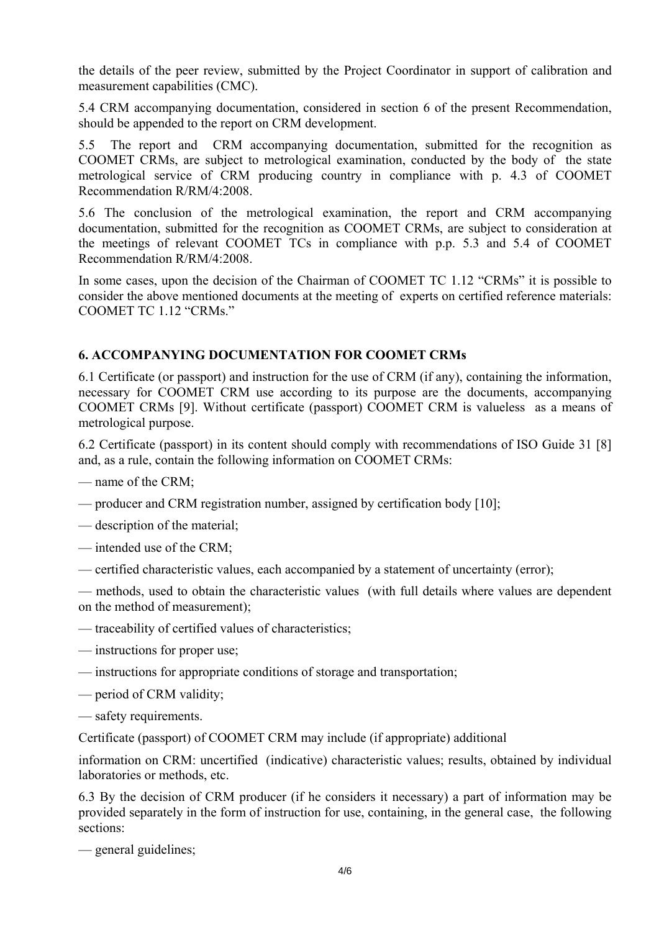the details of the peer review, submitted by the Project Coordinator in support of calibration and measurement capabilities (CMC).

5.4 CRM accompanying documentation, considered in section 6 of the present Recommendation, should be appended to the report on CRM development.

5.5 The report and CRM accompanying documentation, submitted for the recognition as COOMET CRMs, are subject to metrological examination, conducted by the body of the state metrological service of CRM producing country in compliance with p. 4.3 of COOMET Recommendation R/RM/4:2008.

5.6 The conclusion of the metrological examination, the report and CRM accompanying documentation, submitted for the recognition as COOMET CRMs, are subject to consideration at the meetings of relevant COOMET TCs in compliance with p.p. 5.3 and 5.4 of COOMET Recommendation R/RM/4:2008.

In some cases, upon the decision of the Chairman of COOMET TC 1.12 "CRMs" it is possible to consider the above mentioned documents at the meeting of experts on certified reference materials: COOMET TC 1.12 "CRMs."

#### **6. ACCOMPANYING DOCUMENTATION FOR COOMET CRMs**

6.1 Certificate (or passport) and instruction for the use of CRM (if any), containing the information, necessary for COOMET CRM use according to its purpose are the documents, accompanying COOMET CRMs [9]. Without certificate (passport) COOMET CRM is valueless as a means of metrological purpose.

6.2 Certificate (passport) in its content should comply with recommendations of ISO Guide 31 [8] and, as a rule, contain the following information on COOMET CRMs:

- name of the CRM;
- producer and CRM registration number, assigned by certification body [10];
- description of the material;
- intended use of the CRM;
- certified characteristic values, each accompanied by a statement of uncertainty (error);

— methods, used to obtain the characteristic values (with full details where values are dependent on the method of measurement);

- traceability of certified values of characteristics;
- instructions for proper use;
- instructions for appropriate conditions of storage and transportation;
- period of CRM validity;
- safety requirements.

Certificate (passport) of COOMET CRM may include (if appropriate) additional

information on CRM: uncertified (indicative) characteristic values; results, obtained by individual laboratories or methods, etc.

6.3 By the decision of CRM producer (if he considers it necessary) a part of information may be provided separately in the form of instruction for use, containing, in the general case, the following sections:

— general guidelines;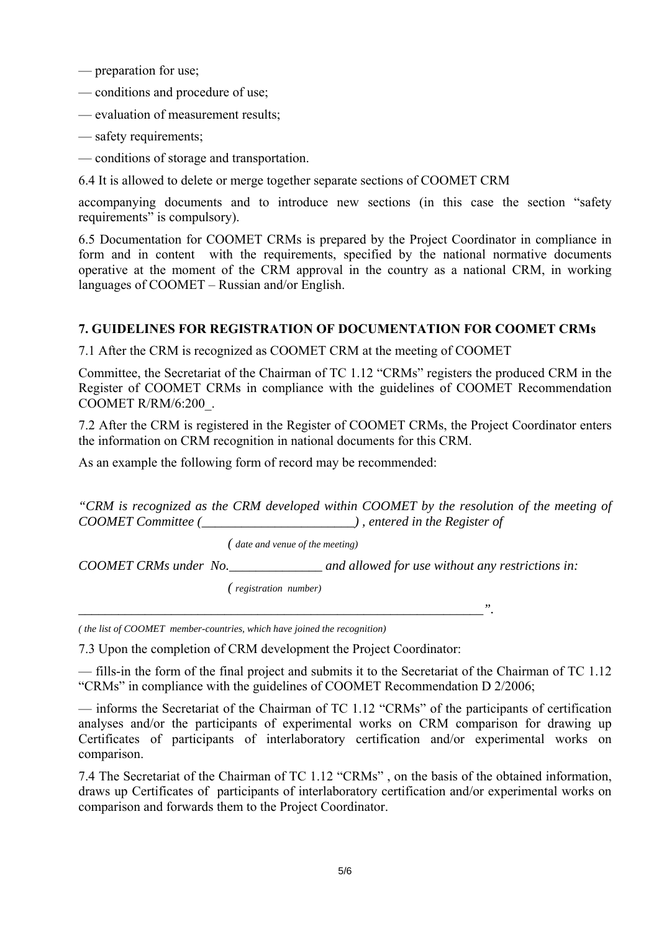- preparation for use;
- conditions and procedure of use;
- evaluation of measurement results;
- safety requirements;
- conditions of storage and transportation.
- 6.4 It is allowed to delete or merge together separate sections of COOMET CRM

accompanying documents and to introduce new sections (in this case the section "safety requirements" is compulsory).

6.5 Documentation for COOMET CRMs is prepared by the Project Coordinator in compliance in form and in content with the requirements, specified by the national normative documents operative at the moment of the CRM approval in the country as a national CRM, in working languages of COOMET – Russian and/or English.

#### **7. GUIDELINES FOR REGISTRATION OF DOCUMENTATION FOR COOMET CRMs**

7.1 After the CRM is recognized as COOMET CRM at the meeting of COOMET

Committee, the Secretariat of the Chairman of TC 1.12 "CRMs" registers the produced CRM in the Register of COOMET CRMs in compliance with the guidelines of COOMET Recommendation COOMET R/RM/6:200\_.

7.2 After the CRM is registered in the Register of COOMET CRMs, the Project Coordinator enters the information on CRM recognition in national documents for this CRM.

As an example the following form of record may be recommended:

*"CRM is recognized as the CRM developed within COOMET by the resolution of the meeting of COOMET Committee (\_\_\_\_\_\_\_\_\_\_\_\_\_\_\_\_\_\_\_\_\_\_\_) , entered in the Register of* 

 *( date and venue of the meeting)* 

*COOMET CRMs under No.\_\_\_\_\_\_\_\_\_\_\_\_\_\_ and allowed for use without any restrictions in:* 

 *( registration number)*

*\_\_\_\_\_\_\_\_\_\_\_\_\_\_\_\_\_\_\_\_\_\_\_\_\_\_\_\_\_\_\_\_\_\_\_\_\_\_\_\_\_\_\_\_\_\_\_\_\_\_\_\_\_\_\_\_\_\_\_\_\_".* 

*( the list of COOMET member-countries, which have joined the recognition)* 

7.3 Upon the completion of CRM development the Project Coordinator:

— fills-in the form of the final project and submits it to the Secretariat of the Chairman of TC 1.12 "CRMs" in compliance with the guidelines of COOMET Recommendation D 2/2006;

— informs the Secretariat of the Chairman of TC 1.12 "CRMs" of the participants of certification analyses and/or the participants of experimental works on CRM comparison for drawing up Certificates of participants of interlaboratory certification and/or experimental works on comparison.

7.4 The Secretariat of the Chairman of TC 1.12 "CRMs" , on the basis of the obtained information, draws up Certificates of participants of interlaboratory certification and/or experimental works on comparison and forwards them to the Project Coordinator.